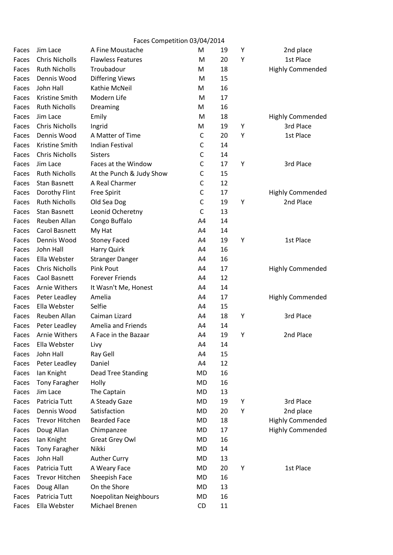| Faces | Jim Lace              | A Fine Moustache          | M            | 19 | Υ | 2nd place               |
|-------|-----------------------|---------------------------|--------------|----|---|-------------------------|
| Faces | <b>Chris Nicholls</b> | <b>Flawless Features</b>  | M            | 20 | Υ | 1st Place               |
| Faces | <b>Ruth Nicholls</b>  | Troubadour                | M            | 18 |   | <b>Highly Commended</b> |
| Faces | Dennis Wood           | <b>Differing Views</b>    | M            | 15 |   |                         |
| Faces | John Hall             | Kathie McNeil             | M            | 16 |   |                         |
| Faces | Kristine Smith        | Modern Life               | M            | 17 |   |                         |
| Faces | <b>Ruth Nicholls</b>  | Dreaming                  | M            | 16 |   |                         |
| Faces | Jim Lace              | Emily                     | M            | 18 |   | <b>Highly Commended</b> |
| Faces | <b>Chris Nicholls</b> | Ingrid                    | M            | 19 | Υ | 3rd Place               |
| Faces | Dennis Wood           | A Matter of Time          | $\mathsf{C}$ | 20 | Υ | 1st Place               |
| Faces | Kristine Smith        | <b>Indian Festival</b>    | C            | 14 |   |                         |
| Faces | <b>Chris Nicholls</b> | <b>Sisters</b>            | C            | 14 |   |                         |
| Faces | Jim Lace              | Faces at the Window       | C            | 17 | Υ | 3rd Place               |
| Faces | <b>Ruth Nicholls</b>  | At the Punch & Judy Show  | C            | 15 |   |                         |
| Faces | <b>Stan Basnett</b>   | A Real Charmer            | C            | 12 |   |                         |
| Faces | Dorothy Flint         | Free Spirit               | C            | 17 |   | <b>Highly Commended</b> |
| Faces | <b>Ruth Nicholls</b>  | Old Sea Dog               | C            | 19 | Υ | 2nd Place               |
| Faces | <b>Stan Basnett</b>   | Leonid Ocheretny          | $\mathsf{C}$ | 13 |   |                         |
| Faces | Reuben Allan          | Congo Buffalo             | A4           | 14 |   |                         |
| Faces | Carol Basnett         | My Hat                    | A4           | 14 |   |                         |
| Faces | Dennis Wood           | <b>Stoney Faced</b>       | A4           | 19 | Υ | 1st Place               |
| Faces | John Hall             | Harry Quirk               | A4           | 16 |   |                         |
| Faces | Ella Webster          | <b>Stranger Danger</b>    | A4           | 16 |   |                         |
| Faces | <b>Chris Nicholls</b> | <b>Pink Pout</b>          | A4           | 17 |   | Highly Commended        |
| Faces | Caol Basnett          | <b>Forever Friends</b>    | A4           | 12 |   |                         |
| Faces | <b>Arnie Withers</b>  | It Wasn't Me, Honest      | A4           | 14 |   |                         |
| Faces | Peter Leadley         | Amelia                    | A4           | 17 |   | <b>Highly Commended</b> |
| Faces | Ella Webster          | Selfie                    | A4           | 15 |   |                         |
| Faces | Reuben Allan          | Caiman Lizard             | A4           | 18 | Υ | 3rd Place               |
| Faces | Peter Leadley         | <b>Amelia and Friends</b> | A4           | 14 |   |                         |
| Faces | <b>Arnie Withers</b>  | A Face in the Bazaar      | A4           | 19 | Υ | 2nd Place               |
| Faces | Ella Webster          | Livy                      | A4           | 14 |   |                         |
| Faces | John Hall             | Ray Gell                  | A4           | 15 |   |                         |
| Faces | Peter Leadley         | Daniel                    | A4           | 12 |   |                         |
| Faces | lan Knight            | Dead Tree Standing        | MD           | 16 |   |                         |
| Faces | Tony Faragher         | Holly                     | MD           | 16 |   |                         |
| Faces | Jim Lace              | The Captain               | MD           | 13 |   |                         |
| Faces | Patricia Tutt         | A Steady Gaze             | MD           | 19 | Υ | 3rd Place               |
| Faces | Dennis Wood           | Satisfaction              | MD           | 20 | Υ | 2nd place               |
| Faces | <b>Trevor Hitchen</b> | <b>Bearded Face</b>       | MD           | 18 |   | <b>Highly Commended</b> |
| Faces | Doug Allan            | Chimpanzee                | MD           | 17 |   | <b>Highly Commended</b> |
| Faces | lan Knight            | <b>Great Grey Owl</b>     | MD           | 16 |   |                         |
| Faces | <b>Tony Faragher</b>  | Nikki                     | MD           | 14 |   |                         |
| Faces | John Hall             | <b>Auther Curry</b>       | MD           | 13 |   |                         |
| Faces | Patricia Tutt         | A Weary Face              | MD           | 20 | Υ | 1st Place               |
| Faces | Trevor Hitchen        | Sheepish Face             | MD           | 16 |   |                         |
| Faces | Doug Allan            | On the Shore              | MD           | 13 |   |                         |
| Faces | Patricia Tutt         | Noepolitan Neighbours     | MD           | 16 |   |                         |
| Faces | Ella Webster          | Michael Brenen            | CD           | 11 |   |                         |